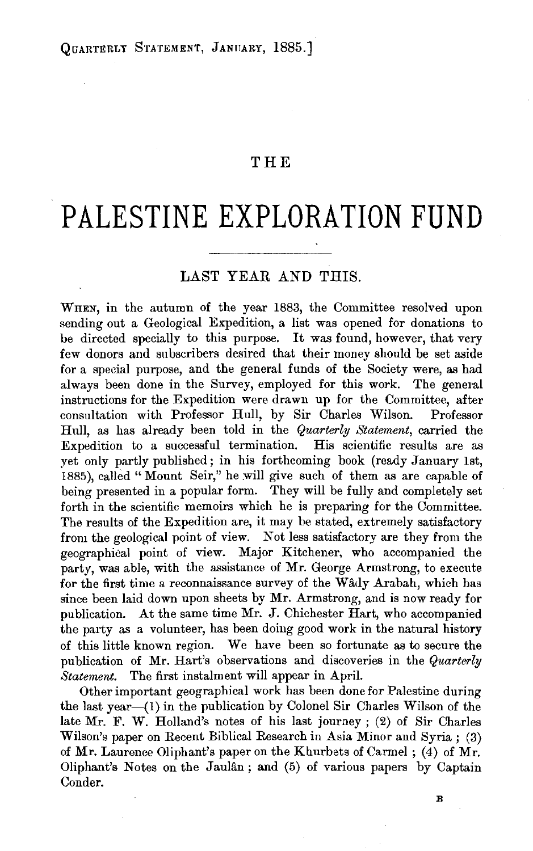## **THE**

## **PALESTINE EXPLORATION FUND**

## LAST YEAR AND THIS.

WHEN, in the autumn of the year 1883, the Committee resolved upon sending out a Geological Expedition, a list was opened for donations to be directed specially to this purpose. It was found, however, that very few donors and subscribers desired that their money should be set aside for a special purpose, and the general funds of the Society were, as had always been done in the Survey, employed for this work. The general instructions for the Expedition were drawn up for the Committee, after consultation with Professor Hull, by Sir Charles Wilson. Professor Hull, as has already been told in the *Quarterly Statement,* carried the Expedition to a successful termination. His scientific results are as yet only partly published; in his forthcoming book (ready January 1st, 1885), called "Mount Seir," he will give such of them as are capable of being presented in a popular form. They will be fully and completely set forth in the scientific memoirs which he is preparing for the Committee. The results of the Expedition are, it may be stated, extremely satisfactory from the geological point of view. Not less satisfactory are they from the geographical point of view. Major Kitchener, who accompanied the party, was able, with the assistance of Mr. George Armstrong, to execute for the first time a reconnaissance survey of the Wâdy Arabah, which has since been laid down upon sheets by Mr. Armstrong, and is now ready for publication. At the same time Mr. J. Chichester Hart, who accompanied the party as a volunteer, has been doing good work in the natural history of this little known region. We have been so fortunate as to secure the publication of Mr. Hart's observations and discoveries in the *Quarterly Statement.* The first instalment will appear in April.

Other important geographical work has been done for Palestine during the last year-(1) in the publication by Colonel Sir Charles Wilson of the late Mr. F. W. Holland's notes of his last journey ; (2) of Sir Charles Wilson's paper on Recent Biblical Research in Asia Minor and Syria ; (3) of Mr. Laurence Oliphant's paper on the Khurbets of Carmel ; (4) of Mr. Oliphant's Notes on the Jauldn; and (5) of various papers by Captain Conder.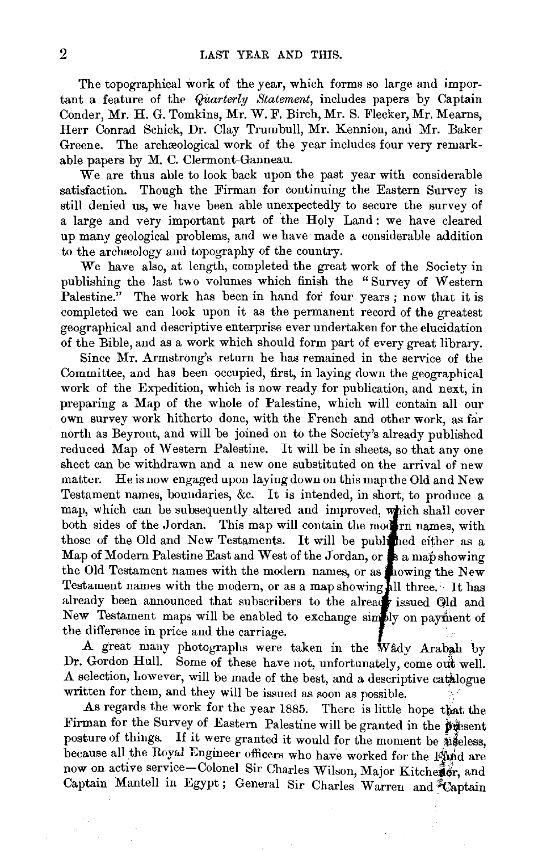The topographical work of the year, which forms so large and important a feature of the *QUarterly Statement,* includes papers by Captain Conder, Mr. H. G. Tomkins, Mr. W. F. Birch, Mr. S. Flecker, Mr. Mearns, Herr Conrad Schick, Dr. Clay Trum bull, Mr. Kennion, and Mr. Baker Greene. The archaeological work of the year includes four very remarkable papers by M. C. Clermont-Ganneau.

 $\overline{We}$  are thus able to look back upon the past year with considerable satisfaction. Though the Firman for continuing the Eastern Survey is still denied us, we have been able unexpectedly to secure the survey of a large and very important part of the Holy Land : we have cleared up many geological problems, and we have made a considerable addition to the archeology and topography of the country.

We have also, at length, completed the great work of the Society in publishing the last two volumes which finish the "Survey of Western Palestine." The work has been in hand for four years; now that it is completed we can look upon it as the permanent record of the greatest geographical and descriptive enterprise ever undertaken for the elucidation of the Bible, and as a work which should form part of every great library.

Since Mr. Armstrong's return he has remained in the service of the Committee, and has been occupied, first, in laying down the geographical work of the Expedition, which is now ready for publication, and next, in preparing a Map of the whole of Palestine, which will contain all our own survey work hitherto done, with the French and other work, as far north as Beyrout, and will be joined on to the Society's already published reduced Map of Western Palestine. It will be in sheets, so that any one sheet can be withdrawn and a new one substituted on the arrival of new matter. He is now engaged upon laying down on this map the Old and New Testament names, boundaries, &c. It is intended, in short, to produce a map, which can be subsequently altered and improved, which shall cover both sides of the Jordan. This map will contain the modern names, with those of the Old and New Testaments. It will be published either as a  $\Gamma$  Modern Palestine East and West of the Jordan, or  $\Gamma$  a man showing  $\text{the old Testament names with the modern names, or as } \text{how not the New }$ Testament names with the modern, or as a map showing all three. It has already been announced that subscribers to the already issued Old and New Testament maps will be enabled to exchange simply on payment of the difference in price and the carriage.

A great many photographs were taken in the Wady Arabah by Dr. Gordon Hull. Some of these have not, unfortunately, come out well. A selection, however, will be made of the best, and a descriptive catalogue written for them, and they will be issued as soon as possible.

As regards the work for the year 1885. There is little hope that the Firman for the Survey of Eastern Palestine will be granted in the present posture of things. If it were granted it would for the moment be  $\hat{\mathbb{E}}$  eless, because all the Royal Engineer officers who have worked for the Find are now on active service-Colonel Sir Charles Wilson, Major Kitchener, and Captain Mantell in Egypt; General Sir Charles Warren and Captain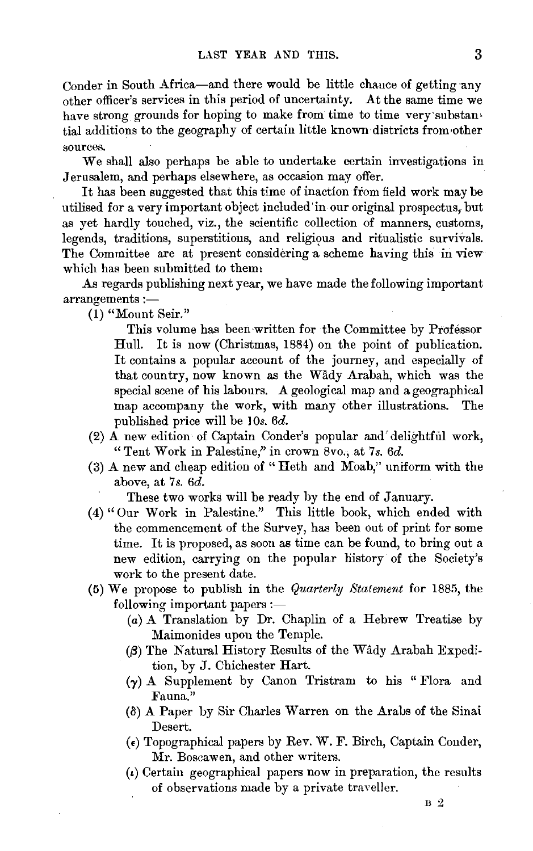Conder in South Africa-and there would be little chance of getting any other officer's services in this period of uncertainty. At the same time we have strong grounds for hoping to make from time to time very'substantial additions to the geography of certain little known·districts from•other sources.

We shall also perhaps be able to undertake certain investigations in Jerusalem, and perhaps elsewhere, as occasion may offer.

It has been suggested that this time of inaction from field work may be utilised for a very important object included'in our original prospectus, but as yet hardly touched, viz., the scientific collection of manners, customs, legends, traditions, superstitions, and religious and ritualistic survivals. The Committee are at present considering a scheme having this in view which has been submitted to them:

As regards publishing next year, we have made the following important  $arrangements :=$ 

(1) "Mount Seir."

This volume has been written for the Committee by Professor Hull. It is now (Christmas, 1884) on the point of publication. It contains a popular account of the journey, and especially of that country, now known as the Wady Arabah, which was the special scene of his labours. A geological map and a geographical map accompany the work, with many other illustrations. The published price will be 10s. 6d.

- (2) A new edition· of Captain Conder's popular and' delightful work, "Tent Work in Palestine," in crown 8vo., at 7s. 6d.
- (3) A new and cheap edition of " Heth and Moab," uniform with the above, at 7s. *6d.*

These two works will be ready by the end of January.

- (4) "Our Work in Palestine." This little book, which ended with the commencement of the Survey, has been out of print for some time. It is proposed, as soon as time can be found, to bring out a new edition, carrying on the popular history of the Society's work to the present date.
- (5) We propose to publish in the *Quarterly Statement* for 1885, the following important papers :-
	- (a) A Translation by Dr. Chaplin of a Hebrew Treatise by Maimonides upon the Temple.
	- ([3) The Natural History Results of the Wady Arabah Expedition, by J. Chichester Hart.
	- (y) A Supplement by Canon Tristram to his "Flora and Fauna."
	- $(8)$  A Paper by Sir Charles Warren on the Arabs of the Sinai Desert.
	- $(\epsilon)$  Topographical papers by Rev. W. F. Birch, Captain Conder, Mr. Boscawen, and other writers.
	- $\mu$ ) Certain geographical papers now in preparation, the results of observations made by a private traveller.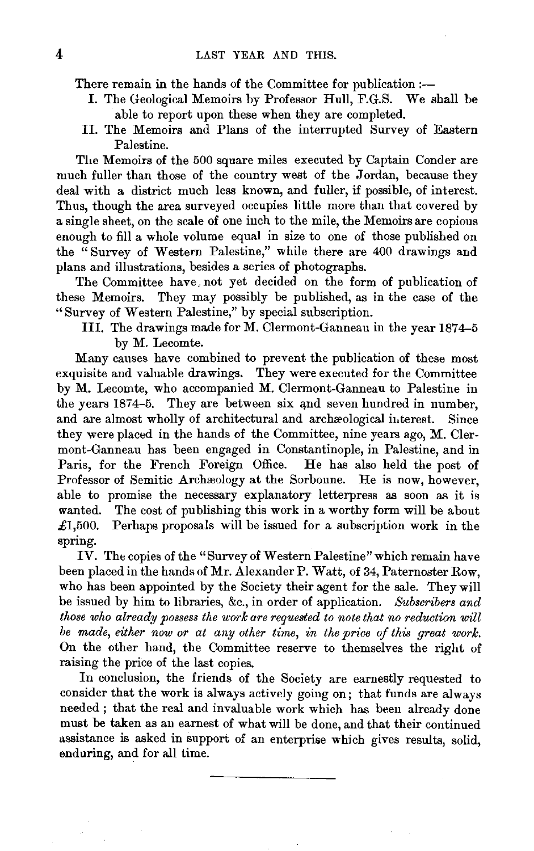There remain in the hands of the Committee for publication:--

- I. The Geological Memoirs by Professor Hull, F.G.S. We shall be able to report upon these when they are completed.
- II. The Memoirs and Plans of the interrupted Survey of Eastern Palestine.

The Memoirs of the 500 square miles executed by Captain Conder are much fuller than those of the country west of the Jordan, because they deal with a district much less known, and fuller, if possible, of interest. Thus, though the area surveyed occupies little more than that covered by a single sheet, on the scale of one inch to the mile, the Memoirs are copious enough to fill a whole volume equal in size to one of those published on the "Survey of Western Palestine," while there are 400 drawings and plans and illustrations, besides a series of photographs.

The Committee have. not yet decided on the form of publication of these Memoirs. They may possibly be published, as in the case of the "Survey of Western Palestine," by special subscription.

Ill. The drawings made for M. Clermont-Ganneau in the year 1874-5 by M. Lecomte.

Many causes have combined to prevent the publication of these most exquisite and valuable drawings. They were executed for the Committee by M. Lecomte, who accompanied M. Clermont-Ganneau to Palestine in the years 1874-5. They are between six and seven hundred in number, and are almost wholly of architectural and archaeological interest. Since they were placed in the hands of the Committee, nine years ago, M. Clermont-Ganneau has been engaged in Constantinople, in Palestine, and in Paris, for the French Foreign Office. He has also held the post of Professor of Semitic Archaeology at the Sorboune. He is now, however, able to promise the necessary explanatory letterpress as soon as it is wanted. The cost of publishing this work in a worthy form will be about £1,500. Perhaps proposals will be issued for a subscription work in the spring.

IV. The copies of the "Survey of Western Palestine" which remain have been placed in the hands of Mr. Alexander P. Watt, of 34, Paternoster Row, who has been appointed by the Society their agent for the sale. They will be issued by him to libraries, &c., in order of application. *Subscribers and those who already possess the work are requested to note that no reduction will be made, either now or at any other time, in the price of this great work.*  On the other hand, the Committee reserve to themselves the right of raising the price of the last copies.

In conclusion, the friends of the Society are earnestly requested to consider that the work is always actively going on; that funds are always needed ; that the real and invaluable work which has been already done must be taken as an earnest of what will be done, and that their continued assistance is asked in support of an enterprise which gives results, solid, enduring, and for all time.